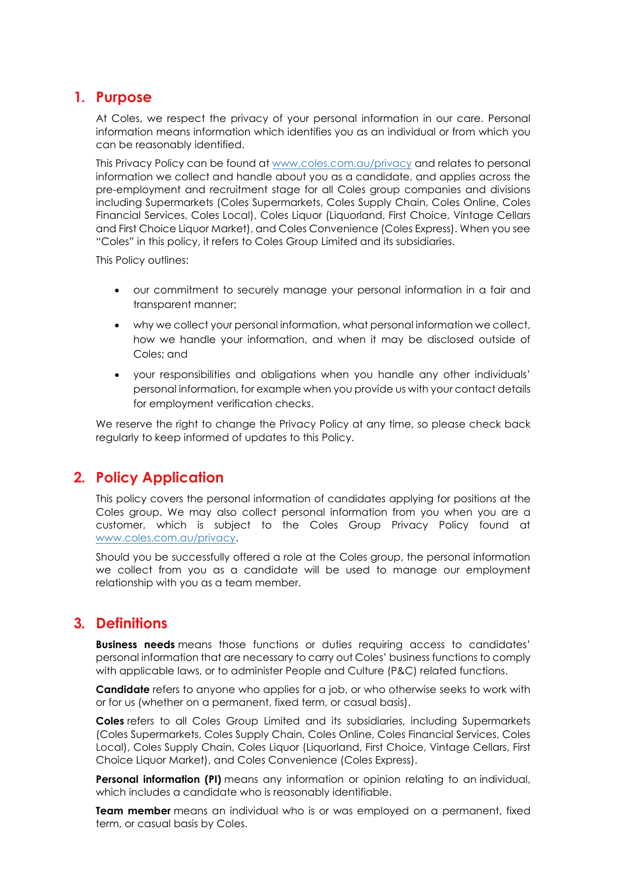### **1. Purpose**

At Coles, we respect the privacy of your personal information in our care. Personal information means information which identifies you as an individual or from which you can be reasonably identified.

This Privacy Policy can be found at [www.coles.com.au/privacy](http://www.coles.com.au/privacy) and relates to personal information we collect and handle about you as a candidate, and applies across the pre-employment and recruitment stage for all Coles group companies and divisions including Supermarkets (Coles Supermarkets, Coles Supply Chain, Coles Online, Coles Financial Services, Coles Local), Coles Liquor (Liquorland, First Choice, Vintage Cellars and First Choice Liquor Market), and Coles Convenience (Coles Express). When you see "Coles" in this policy, it refers to Coles Group Limited and its subsidiaries.

This Policy outlines:

- our commitment to securely manage your personal information in a fair and transparent manner;
- why we collect your personal information, what personal information we collect, how we handle your information, and when it may be disclosed outside of Coles; and
- your responsibilities and obligations when you handle any other individuals' personal information, for example when you provide us with your contact details for employment verification checks.

We reserve the right to change the Privacy Policy at any time, so please check back regularly to keep informed of updates to this Policy.

## **2. Policy Application**

This policy covers the personal information of candidates applying for positions at the Coles group. We may also collect personal information from you when you are a customer, which is subject to the Coles Group Privacy Policy found at [www.coles.com.au/privacy.](http://www.coles.com.au/privacy)

Should you be successfully offered a role at the Coles group, the personal information we collect from you as a candidate will be used to manage our employment relationship with you as a team member.

## **3. Definitions**

**Business needs** means those functions or duties requiring access to candidates' personal information that are necessary to carry out Coles' business functions to comply with applicable laws, or to administer People and Culture (P&C) related functions.

**Candidate** refers to anyone who applies for a job, or who otherwise seeks to work with or for us (whether on a permanent, fixed term, or casual basis).

**Coles** refers to all Coles Group Limited and its subsidiaries, including Supermarkets (Coles Supermarkets, Coles Supply Chain, Coles Online, Coles Financial Services, Coles Local), Coles Supply Chain, Coles Liquor (Liquorland, First Choice, Vintage Cellars, First Choice Liquor Market), and Coles Convenience (Coles Express).

**Personal information (PI)** means any information or opinion relating to an individual, which includes a candidate who is reasonably identifiable.

**Team member** means an individual who is or was employed on a permanent, fixed term, or casual basis by Coles.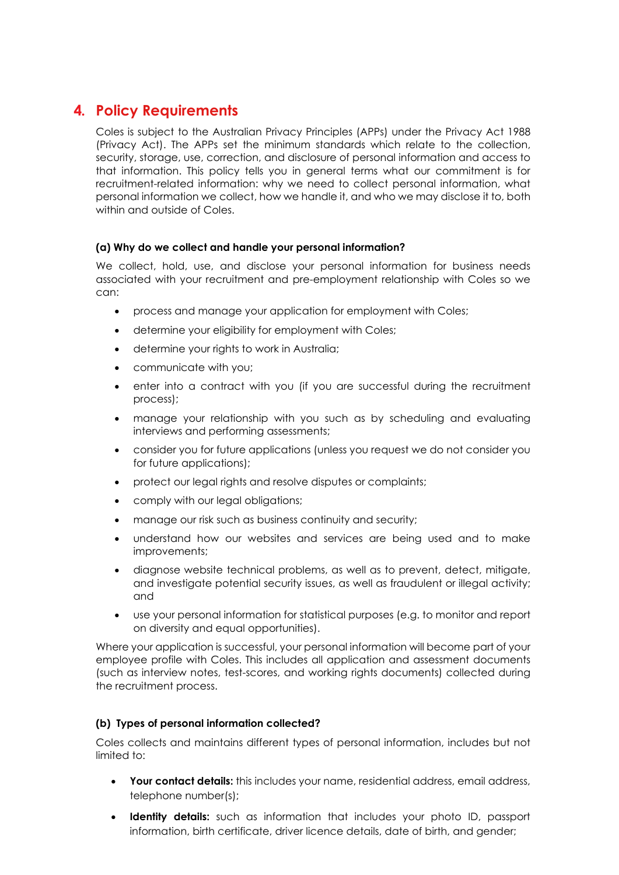## **4. Policy Requirements**

Coles is subject to the Australian Privacy Principles (APPs) under the Privacy Act 1988 (Privacy Act). The APPs set the minimum standards which relate to the collection, security, storage, use, correction, and disclosure of personal information and access to that information. This policy tells you in general terms what our commitment is for recruitment-related information: why we need to collect personal information, what personal information we collect, how we handle it, and who we may disclose it to, both within and outside of Coles.

#### **(a) Why do we collect and handle your personal information?**

We collect, hold, use, and disclose your personal information for business needs associated with your recruitment and pre-employment relationship with Coles so we can:

- process and manage your application for employment with Coles;
- determine your eligibility for employment with Coles;
- determine your rights to work in Australia:
- communicate with you;
- enter into a contract with you (if you are successful during the recruitment process);
- manage your relationship with you such as by scheduling and evaluating interviews and performing assessments;
- consider you for future applications (unless you request we do not consider you for future applications);
- protect our legal rights and resolve disputes or complaints;
- comply with our legal obligations;
- manage our risk such as business continuity and security;
- understand how our websites and services are being used and to make improvements;
- diagnose website technical problems, as well as to prevent, detect, mitigate, and investigate potential security issues, as well as fraudulent or illegal activity; and
- use your personal information for statistical purposes (e.g. to monitor and report on diversity and equal opportunities).

Where your application is successful, your personal information will become part of your employee profile with Coles. This includes all application and assessment documents (such as interview notes, test-scores, and working rights documents) collected during the recruitment process.

#### **(b) Types of personal information collected?**

Coles collects and maintains different types of personal information, includes but not limited to:

- **Your contact details:** this includes your name, residential address, email address, telephone number(s);
- **Identity details:** such as information that includes your photo ID, passport information, birth certificate, driver licence details, date of birth, and gender;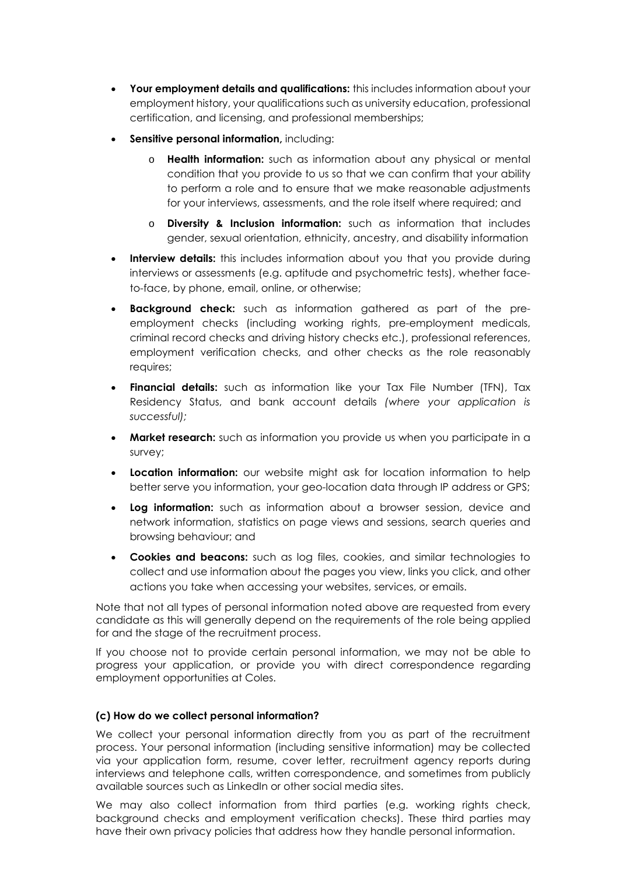- **Your employment details and qualifications:** this includes information about your employment history, your qualifications such as university education, professional certification, and licensing, and professional memberships;
- **Sensitive personal information,** including:
	- o **Health information:** such as information about any physical or mental condition that you provide to us so that we can confirm that your ability to perform a role and to ensure that we make reasonable adjustments for your interviews, assessments, and the role itself where required; and
	- o **Diversity & Inclusion information:** such as information that includes gender, sexual orientation, ethnicity, ancestry, and disability information
- **Interview details:** this includes information about you that you provide during interviews or assessments (e.g. aptitude and psychometric tests), whether faceto-face, by phone, email, online, or otherwise;
- **Background check:** such as information gathered as part of the preemployment checks (including working rights, pre-employment medicals, criminal record checks and driving history checks etc.), professional references, employment verification checks, and other checks as the role reasonably requires;
- **Financial details:** such as information like your Tax File Number (TFN), Tax Residency Status, and bank account details *(where your application is successful);*
- **Market research:** such as information you provide us when you participate in a survey;
- **Location information:** our website might ask for location information to help better serve you information, your geo-location data through IP address or GPS;
- **Log information:** such as information about a browser session, device and network information, statistics on page views and sessions, search queries and browsing behaviour; and
- **Cookies and beacons:** such as log files, cookies, and similar technologies to collect and use information about the pages you view, links you click, and other actions you take when accessing your websites, services, or emails.

Note that not all types of personal information noted above are requested from every candidate as this will generally depend on the requirements of the role being applied for and the stage of the recruitment process.

If you choose not to provide certain personal information, we may not be able to progress your application, or provide you with direct correspondence regarding employment opportunities at Coles.

#### **(c) How do we collect personal information?**

We collect your personal information directly from you as part of the recruitment process. Your personal information (including sensitive information) may be collected via your application form, resume, cover letter, recruitment agency reports during interviews and telephone calls, written correspondence, and sometimes from publicly available sources such as LinkedIn or other social media sites.

We may also collect information from third parties (e.g. working rights check, background checks and employment verification checks). These third parties may have their own privacy policies that address how they handle personal information.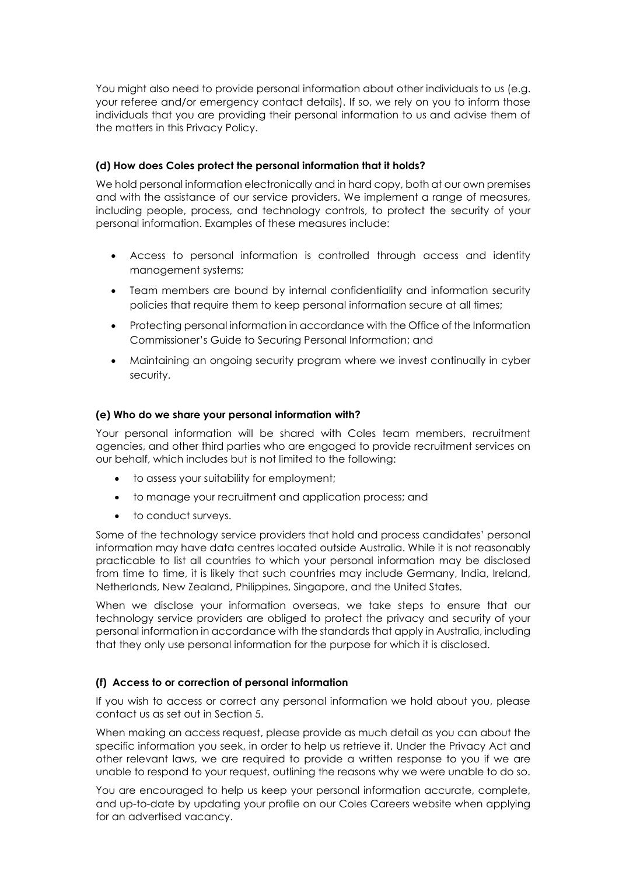You might also need to provide personal information about other individuals to us (e.g. your referee and/or emergency contact details). If so, we rely on you to inform those individuals that you are providing their personal information to us and advise them of the matters in this Privacy Policy.

#### **(d) How does Coles protect the personal information that it holds?**

We hold personal information electronically and in hard copy, both at our own premises and with the assistance of our service providers. We implement a range of measures, including people, process, and technology controls, to protect the security of your personal information. Examples of these measures include:

- Access to personal information is controlled through access and identity management systems;
- Team members are bound by internal confidentiality and information security policies that require them to keep personal information secure at all times;
- Protecting personal information in accordance with the Office of the Information Commissioner's Guide to Securing Personal Information; and
- Maintaining an ongoing security program where we invest continually in cyber security.

#### **(e) Who do we share your personal information with?**

Your personal information will be shared with Coles team members, recruitment agencies, and other third parties who are engaged to provide recruitment services on our behalf, which includes but is not limited to the following:

- to assess your suitability for employment;
- to manage your recruitment and application process; and
- to conduct surveys.

Some of the technology service providers that hold and process candidates' personal information may have data centres located outside Australia. While it is not reasonably practicable to list all countries to which your personal information may be disclosed from time to time, it is likely that such countries may include Germany, India, Ireland, Netherlands, New Zealand, Philippines, Singapore, and the United States.

When we disclose your information overseas, we take steps to ensure that our technology service providers are obliged to protect the privacy and security of your personal information in accordance with the standards that apply in Australia, including that they only use personal information for the purpose for which it is disclosed.

#### **(f) Access to or correction of personal information**

If you wish to access or correct any personal information we hold about you, please contact us as set out in Section 5.

When making an access request, please provide as much detail as you can about the specific information you seek, in order to help us retrieve it. Under the Privacy Act and other relevant laws, we are required to provide a written response to you if we are unable to respond to your request, outlining the reasons why we were unable to do so.

You are encouraged to help us keep your personal information accurate, complete, and up-to-date by updating your profile on our Coles Careers website when applying for an advertised vacancy.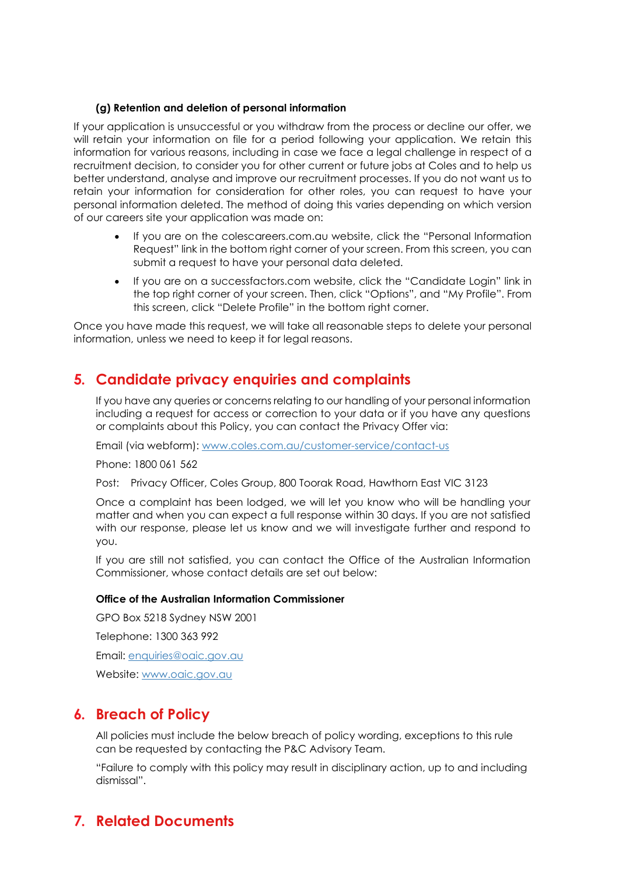#### **(g) Retention and deletion of personal information**

If your application is unsuccessful or you withdraw from the process or decline our offer, we will retain your information on file for a period following your application. We retain this information for various reasons, including in case we face a legal challenge in respect of a recruitment decision, to consider you for other current or future jobs at Coles and to help us better understand, analyse and improve our recruitment processes. If you do not want us to retain your information for consideration for other roles, you can request to have your personal information deleted. The method of doing this varies depending on which version of our careers site your application was made on:

- If you are on the colescareers.com.au website, click the "Personal Information Request" link in the bottom right corner of your screen. From this screen, you can submit a request to have your personal data deleted.
- If you are on a successfactors.com website, click the "Candidate Login" link in the top right corner of your screen. Then, click "Options", and "My Profile". From this screen, click "Delete Profile" in the bottom right corner.

Once you have made this request, we will take all reasonable steps to delete your personal information, unless we need to keep it for legal reasons.

## **5. Candidate privacy enquiries and complaints**

If you have any queries or concerns relating to our handling of your personal information including a request for access or correction to your data or if you have any questions or complaints about this Policy, you can contact the Privacy Offer via:

Email (via webform): [www.coles.com.au/customer-service/contact-us](http://www.coles.com.au/customer-service/contact-us) 

Phone: 1800 061 562

Post: Privacy Officer, Coles Group, 800 Toorak Road, Hawthorn East VIC 3123

Once a complaint has been lodged, we will let you know who will be handling your matter and when you can expect a full response within 30 days. If you are not satisfied with our response, please let us know and we will investigate further and respond to you.

If you are still not satisfied, you can contact the Office of the Australian Information Commissioner, whose contact details are set out below:

#### **Office of the Australian Information Commissioner**

GPO Box 5218 Sydney NSW 2001 Telephone: 1300 363 992 Email: [enquiries@oaic.gov.au](https://careers.colesgroup.com.au/content/Privacy-and-Policy/?locale=en_GB) Website: [www.oaic.gov.au](http://www.oaic.gov.au/) 

## **6. Breach of Policy**

All policies must include the below breach of policy wording, exceptions to this rule can be requested by contacting the P&C Advisory Team.

"Failure to comply with this policy may result in disciplinary action, up to and including dismissal".

# **7. Related Documents**